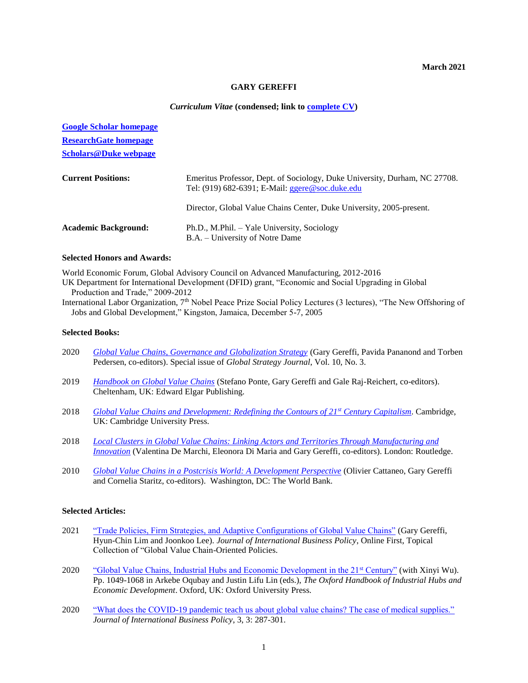### **GARY GEREFFI**

#### *Curriculum Vitae* **(condensed; link to [complete CV\)](https://duke.box.com/s/d4wbeogjb1yhcb1u10gtnl0btbzqxkax)**

| <b>Google Scholar homepage</b> |                                                                                                                                  |
|--------------------------------|----------------------------------------------------------------------------------------------------------------------------------|
| <b>ResearchGate homepage</b>   |                                                                                                                                  |
| <b>Scholars@Duke webpage</b>   |                                                                                                                                  |
| <b>Current Positions:</b>      | Emeritus Professor, Dept. of Sociology, Duke University, Durham, NC 27708.<br>Tel: $(919)$ 682-6391; E-Mail: ggere @soc.duke.edu |
|                                | Director, Global Value Chains Center, Duke University, 2005-present.                                                             |
| <b>Academic Background:</b>    | Ph.D., M.Phil. – Yale University, Sociology<br>B.A. – University of Notre Dame                                                   |

## **Selected Honors and Awards:**

World Economic Forum, Global Advisory Council on Advanced Manufacturing, 2012-2016

UK Department for International Development (DFID) grant, "Economic and Social Upgrading in Global Production and Trade," 2009-2012

International Labor Organization, 7<sup>th</sup> Nobel Peace Prize Social Policy Lectures (3 lectures), "The New Offshoring of Jobs and Global Development," Kingston, Jamaica, December 5-7, 2005

# **Selected Books:**

- 2020 *[Global Value Chains, Governance and Globalization Strategy](https://onlinelibrary.wiley.com/toc/20425805/current)* (Gary Gereffi, Pavida Pananond and Torben Pedersen, co-editors). Special issue of *Global Strategy Journal*, Vol. 10, No. 3.
- 2019 *[Handbook on Global Value Chains](https://www.elgaronline.com/view/edcoll/9781788113762/9781788113762.xml)* (Stefano Ponte, Gary Gereffi and Gale Raj-Reichert, co-editors). Cheltenham, UK: Edward Elgar Publishing.
- 2018 *[Global Value Chains and Development: Redefining the Contours of 21](https://www.amazon.com/Global-Value-Chains-Development-Trajectories/dp/1108458866/ref=sr_1_1?ie=UTF8&qid=1541057302&sr=8-1&keywords=gARY+GEREFFI)st Century Capitalism*. Cambridge, UK: Cambridge University Press.
- 2018 *Local Clusters in [Global Value Chains: Linking Actors and Territories Through Manufacturing and](http://www.tandfebooks.com/action/showBook?doi=10.4324%2F9781315182049&)  [Innovation](http://www.tandfebooks.com/action/showBook?doi=10.4324%2F9781315182049&)* (Valentina De Marchi, Eleonora Di Maria and Gary Gereffi, co-editors). London: Routledge.
- 2010 *[Global Value Chains in a Postcrisis World: A Development Perspective](http://elibrary.worldbank.org/content/book/9780821384992)* (Olivier Cattaneo, Gary Gereffi and Cornelia Staritz, co-editors). Washington, DC: The World Bank.

#### **Selected Articles:**

- 2021 ["Trade Policies, Firm Strategies, and Adaptive Configurations of Global Value Chains"](https://doi.org/10.1057/s42214-021-00102-z) (Gary Gereffi, Hyun-Chin Lim and Joonkoo Lee). *Journal of International Business Policy*, Online First, Topical Collection of "Global Value Chain-Oriented Policies.
- 2020 ["Global Value Chains, Industrial Hubs and Economic Development in the 21](https://www.oxfordhandbooks.com/view/10.1093/oxfordhb/9780198850434.001.0001/oxfordhb-9780198850434-e-53)<sup>st</sup> Century" (with Xinyi Wu). Pp. 1049-1068 in Arkebe Oqubay and Justin Lifu Lin (eds.), *The Oxford Handbook of Industrial Hubs and Economic Development*. Oxford, UK: Oxford University Press.
- 2020 "What does the COVID-19 pandemic teach [us about global value chains? The case of medical supplies."](https://link.springer.com/content/pdf/10.1057%2Fs42214-020-00062-w.pdf) *Journal of International Business Policy*, 3, 3: 287-301.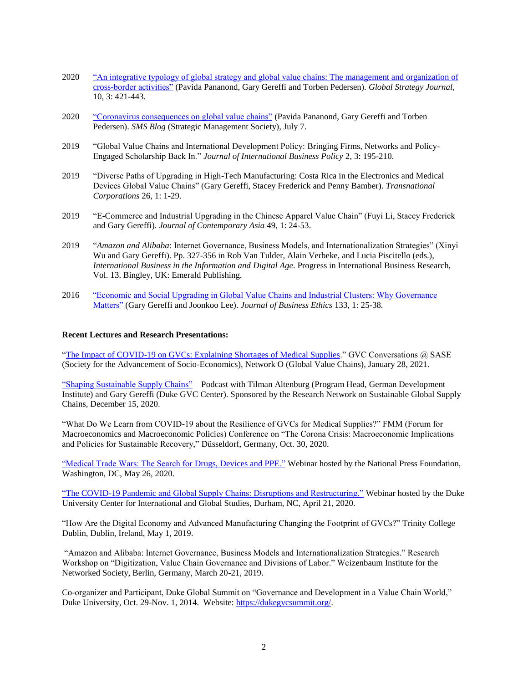- 2020 ["An integrative typology of global strategy and global value chains: The management and organization of](https://onlinelibrary.wiley.com/doi/10.1002/gsj.1388)  [cross-border activities"](https://onlinelibrary.wiley.com/doi/10.1002/gsj.1388) (Pavida Pananond, Gary Gereffi and Torben Pedersen). *Global Strategy Journal*, 10, 3: 421-443.
- 2020 ["Coronavirus consequences on global value chains"](https://strategicmanagementsociety.wordpress.com/2020/07/07/coronavirus-consequences-on-global-value-chains/) (Pavida Pananond, Gary Gereffi and Torben Pedersen). *SMS Blog* (Strategic Management Society), July 7.
- 2019 "Global Value Chains and International Development Policy: Bringing Firms, Networks and Policy-Engaged Scholarship Back In." *Journal of International Business Policy* 2, 3: 195-210.
- 2019 "Diverse Paths of Upgrading in High-Tech Manufacturing: Costa Rica in the Electronics and Medical Devices Global Value Chains" (Gary Gereffi, Stacey Frederick and Penny Bamber). *Transnational Corporations* 26, 1: 1-29.
- 2019 "E-Commerce and Industrial Upgrading in the Chinese Apparel Value Chain" (Fuyi Li, Stacey Frederick and Gary Gereffi). *Journal of Contemporary Asia* 49, 1: 24-53.
- 2019 "*Amazon and Alibaba*: Internet Governance, Business Models, and Internationalization Strategies" (Xinyi Wu and Gary Gereffi). Pp. 327-356 in Rob Van Tulder, Alain Verbeke, and Lucia Piscitello (eds.), *International Business in the Information and Digital Age*. Progress in International Business Research, Vol. 13. Bingley, UK: Emerald Publishing.
- 2016 ["Economic and Social Upgrading in Global Value Chains and Industrial Clusters: Why Governance](file://///win.duke.edu/trinity/sociology/home/ggereffi/lanhome/Articles_GG/2016_JBE%20special%20issue%20on%20clusters/2016-01-24_Gereffi%20&%20Lee_JBE_Economic%20&%20social%20upgrading%20in%20GVCs%20&%20clusters%20-%20governance%20matters.pdf)  [Matters"](file://///win.duke.edu/trinity/sociology/home/ggereffi/lanhome/Articles_GG/2016_JBE%20special%20issue%20on%20clusters/2016-01-24_Gereffi%20&%20Lee_JBE_Economic%20&%20social%20upgrading%20in%20GVCs%20&%20clusters%20-%20governance%20matters.pdf) (Gary Gereffi and Joonkoo Lee). *Journal of Business Ethics* 133, 1: 25-38.

#### **Recent Lectures and Research Presentations:**

["The Impact of COVID-19 on GVCs: Explaining Shortages of Medical Supplies.](https://www.youtube.com/watch?v=mj34MVv61Js&feature=youtu.be)" GVC Conversations @ SASE (Society for the Advancement of Socio-Economics), Network O (Global Value Chains), January 28, 2021.

["Shaping Sustainable Supply Chains"](https://shaping-sustainable-supply-chains.podigee.io/1) – Podcast with Tilman Altenburg (Program Head, German Development Institute) and Gary Gereffi (Duke GVC Center). Sponsored by the Research Network on Sustainable Global Supply Chains, December 15, 2020.

"What Do We Learn from COVID-19 about the Resilience of GVCs for Medical Supplies?" FMM (Forum for Macroeconomics and Macroeconomic Policies) Conference on "The Corona Crisis: Macroeconomic Implications and Policies for Sustainable Recovery," Düsseldorf, Germany, Oct. 30, 2020.

["Medical Trade Wars: The Search for Drugs, Devices and PPE."](https://nationalpress.org/topic/the-search-for-medical-supplies/?st=14360&t=Trade&mm=Video) Webinar hosted by the National Press Foundation, Washington, DC, May 26, 2020.

["The COVID-19 Pandemic and Global Supply Chains: Disruptions and Restructuring."](https://igs.duke.edu/news/covid-19-and-global-supply-chains-disruptions-and-restructuring) Webinar hosted by the Duke University Center for International and Global Studies, Durham, NC, April 21, 2020.

"How Are the Digital Economy and Advanced Manufacturing Changing the Footprint of GVCs?" Trinity College Dublin, Dublin, Ireland, May 1, 2019.

"Amazon and Alibaba: Internet Governance, Business Models and Internationalization Strategies." Research Workshop on "Digitization, Value Chain Governance and Divisions of Labor." Weizenbaum Institute for the Networked Society, Berlin, Germany, March 20-21, 2019.

Co-organizer and Participant, Duke Global Summit on "Governance and Development in a Value Chain World," Duke University, Oct. 29-Nov. 1, 2014. Website: [https://dukegvcsummit.org/.](https://dukegvcsummit.org/)